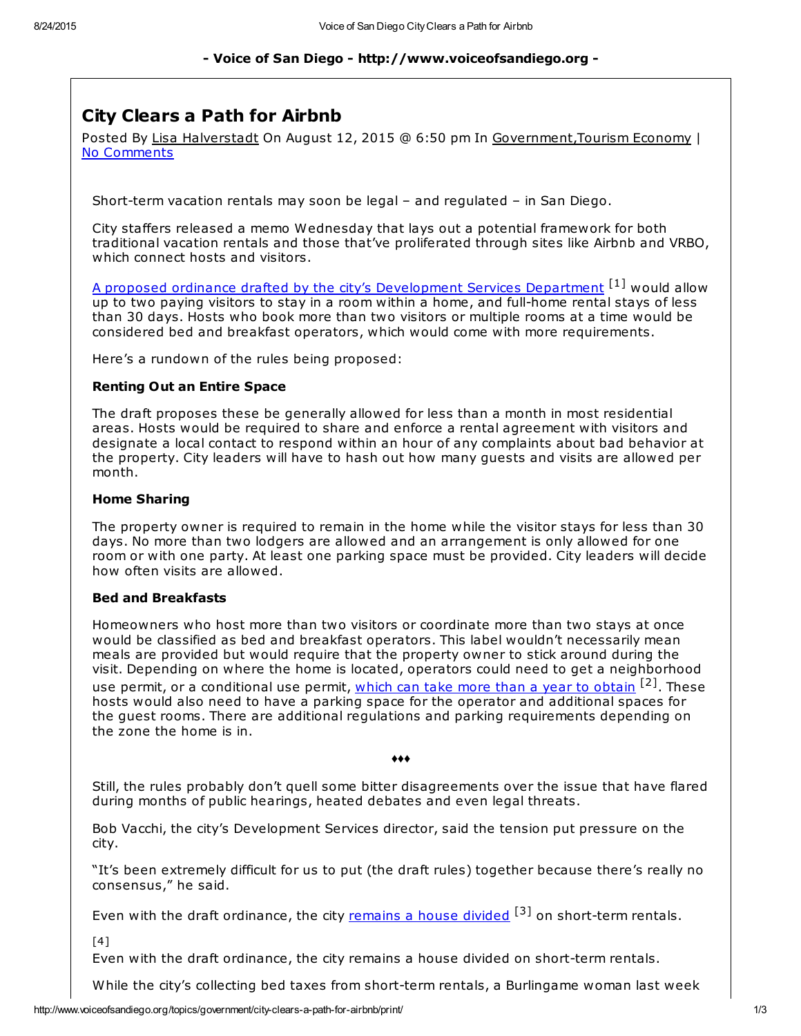## - Voice of San Diego - http://www.voiceofsandiego.org -

# City Clears a Path for Airbnb

Posted By Lisa Halverstadt On August 12, 2015 @ 6:50 pm In Government,Tourism Economy | No Comments

Short-term vacation rentals may soon be legal – and regulated – in San Diego.

City staffers released a memo Wednesday that lays out a potential framework for both traditional vacation rentals and those that've proliferated through sites like Airbnb and VRBO, which connect hosts and visitors.

A proposed ordinance drafted by the city's [Development](https://www.scribd.com/doc/274357266/Prospective-San-Diego-Short-Term-Vacation-Rental-Home-Sharing-Regulations) Services Department <sup>[1]</sup> would allow up to two paying visitors to stay in a room within a home, and full-home rental stays of less than 30 days. Hosts who book more than two visitors or multiple rooms at a time would be considered bed and breakfast operators, which would come with more requirements.

Here's a rundown of the rules being proposed:

### Renting Out an Entire Space

The draft proposes these be generally allowed for less than a month in most residential areas. Hosts would be required to share and enforce a rental agreement with visitors and designate a local contact to respond within an hour of any complaints about bad behavior at the property. City leaders will have to hash out how many guests and visits are allowed per month.

### Home Sharing

The property owner is required to remain in the home while the visitor stays for less than 30 days. No more than two lodgers are allowed and an arrangement is only allowed for one room or with one party. At least one parking space must be provided. City leaders will decide how often visits are allowed.

#### Bed and Breakfasts

Homeowners who host more than two visitors or coordinate more than two stays at once would be classified as bed and breakfast operators. This label wouldn't necessarily mean meals are provided but would require that the property owner to stick around during the visit. Depending on where the home is located, operators could need to get a neighborhood use permit, or a conditional use permit, <u>which can take more than a year to [obtain](http://www.voiceofsandiego.org/topics/government/it-takes-a-year-to-get-the-permits-the-city-wants-airbnb-hosts-to-have/)</u> <sup>[2]</sup>. These hosts would also need to have a parking space for the operator and additional spaces for the guest rooms. There are additional regulations and parking requirements depending on the zone the home is in.

♦♦♦

Still, the rules probably don't quell some bitter disagreements over the issue that have flared during months of public hearings, heated debates and even legal threats.

Bob Vacchi, the city's Development Services director, said the tension put pressure on the city.

"It's been extremely difficult for us to put (the draft rules) together because there's really no consensus," he said.

Even with the draft ordinance, the city [remains](http://www.voiceofsandiego.org/topics/land-use/san-diego-is-still-a-house-divided-on-vacation-rentals/) a house divided <sup>[3]</sup> on short-term rentals.

 $[4]$ 

Even with the draft ordinance, the city remains a house divided on short-term rentals.

While the city's collecting bed taxes from short-term rentals, a Burlingame woman last week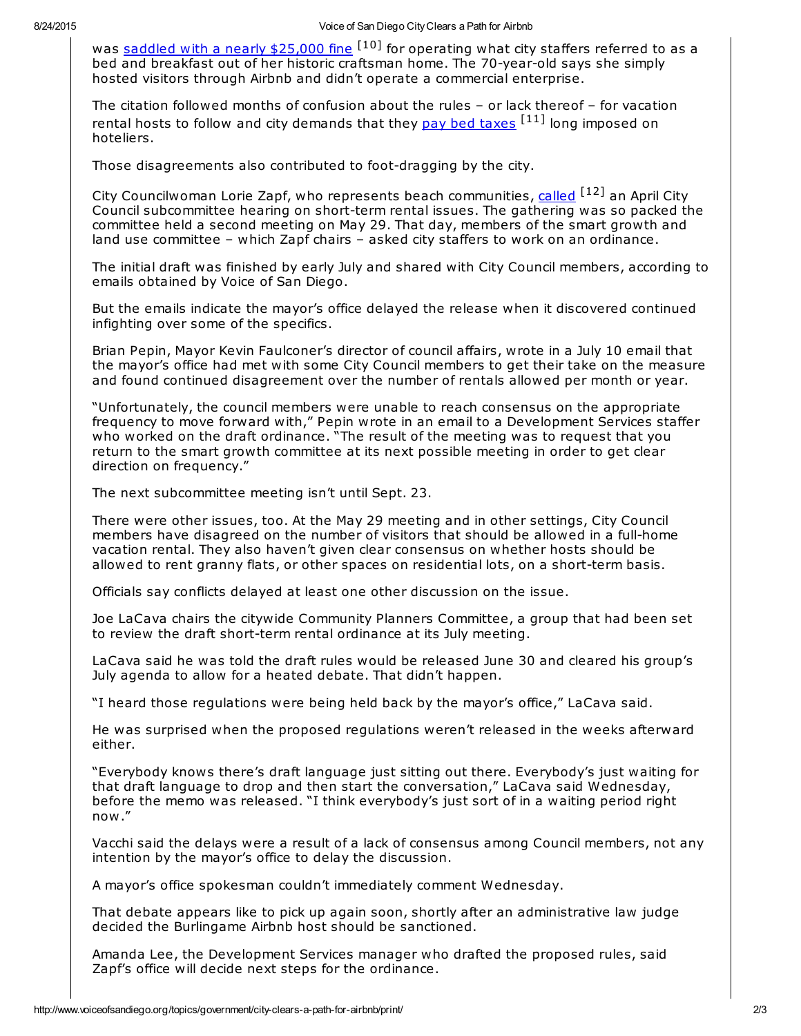was saddled with a nearly [\\$25,000](http://www.sandiegoreader.com/news/2015/aug/10/ticker-airbnb-rachel-smith-fined/) fine <sup>[10]</sup> for operating what city staffers referred to as a bed and breakfast out of her historic craftsman home. The 70-year-old says she simply hosted visitors through Airbnb and didn't operate a commercial enterprise.

The citation followed months of confusion about the rules – or lack thereof – for vacation rental hosts to follow and city demands that they pay bed [taxes](http://voiceofsandiego.org/topics/news/san-diegos-cracking-down-on-airbnb-hosts/) <sup>[11]</sup> long imposed on hoteliers.

Those disagreements also contributed to foot-dragging by the city.

City Councilwoman Lorie Zapf, who represents beach communities, [called](http://www.voiceofsandiego.org/topics/economy/cate-airbnb-hosts-keep-calm-rent/) <sup>[12]</sup> an April City Council subcommittee hearing on short-term rental issues. The gathering was so packed the committee held a second meeting on May 29. That day, members of the smart growth and land use committee – which Zapf chairs – asked city staffers to work on an ordinance.

The initial draft was finished by early July and shared with City Council members, according to emails obtained by Voice of San Diego.

But the emails indicate the mayor's office delayed the release when it discovered continued infighting over some of the specifics.

Brian Pepin, Mayor Kevin Faulconer's director of council affairs, wrote in a July 10 email that the mayor's office had met with some City Council members to get their take on the measure and found continued disagreement over the number of rentals allowed per month or year.

"Unfortunately, the council members were unable to reach consensus on the appropriate frequency to move forward with," Pepin wrote in an email to a Development Services staffer who worked on the draft ordinance. "The result of the meeting was to request that you return to the smart growth committee at its next possible meeting in order to get clear direction on frequency."

The next subcommittee meeting isn't until Sept. 23.

There were other issues, too. At the May 29 meeting and in other settings, City Council members have disagreed on the number of visitors that should be allowed in a full-home vacation rental. They also haven't given clear consensus on whether hosts should be allowed to rent granny flats, or other spaces on residential lots, on a short-term basis.

Officials say conflicts delayed at least one other discussion on the issue.

Joe LaCava chairs the citywide Community Planners Committee, a group that had been set to review the draft short-term rental ordinance at its July meeting.

LaCava said he was told the draft rules would be released June 30 and cleared his group's July agenda to allow for a heated debate. That didn't happen.

"I heard those regulations were being held back by the mayor's office," LaCava said.

He was surprised when the proposed regulations weren't released in the weeks afterward either.

"Everybody knows there's draft language just sitting out there. Everybody's just waiting for that draft language to drop and then start the conversation," LaCava said Wednesday, before the memo was released. "I think everybody's just sort of in a waiting period right now."

Vacchi said the delays were a result of a lack of consensus among Council members, not any intention by the mayor's office to delay the discussion.

A mayor's office spokesman couldn't immediately comment Wednesday.

That debate appears like to pick up again soon, shortly after an administrative law judge decided the Burlingame Airbnb host should be sanctioned.

Amanda Lee, the Development Services manager who drafted the proposed rules, said Zapf's office will decide next steps for the ordinance.